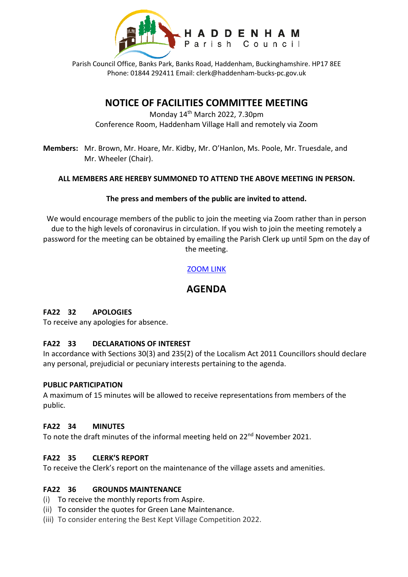

Parish Council Office, Banks Park, Banks Road, Haddenham, Buckinghamshire. HP17 8EE Phone: 01844 292411 Email: clerk@haddenham-bucks-pc.gov.uk

# **NOTICE OF FACILITIES COMMITTEE MEETING**

Monday 14th March 2022, 7.30pm Conference Room, Haddenham Village Hall and remotely via Zoom

**Members:** Mr. Brown, Mr. Hoare, Mr. Kidby, Mr. O'Hanlon, Ms. Poole, Mr. Truesdale, and Mr. Wheeler (Chair).

## **ALL MEMBERS ARE HEREBY SUMMONED TO ATTEND THE ABOVE MEETING IN PERSON.**

## **The press and members of the public are invited to attend.**

We would encourage members of the public to join the meeting via Zoom rather than in person due to the high levels of coronavirus in circulation. If you wish to join the meeting remotely a password for the meeting can be obtained by emailing the Parish Clerk up until 5pm on the day of the meeting.

## [ZOOM LINK](https://zoom.us/j/94517383348)

# **AGENDA**

## **FA22 32 APOLOGIES**

To receive any apologies for absence.

## **FA22 33 DECLARATIONS OF INTEREST**

In accordance with Sections 30(3) and 235(2) of the Localism Act 2011 Councillors should declare any personal, prejudicial or pecuniary interests pertaining to the agenda.

#### **PUBLIC PARTICIPATION**

A maximum of 15 minutes will be allowed to receive representations from members of the public.

#### **FA22 34 MINUTES**

To note the draft minutes of the informal meeting held on 22<sup>nd</sup> November 2021.

## **FA22 35 CLERK'S REPORT**

To receive the Clerk's report on the maintenance of the village assets and amenities.

#### **FA22 36 GROUNDS MAINTENANCE**

- (i) To receive the monthly reports from Aspire.
- (ii) To consider the quotes for Green Lane Maintenance.
- (iii) To consider entering the Best Kept Village Competition 2022.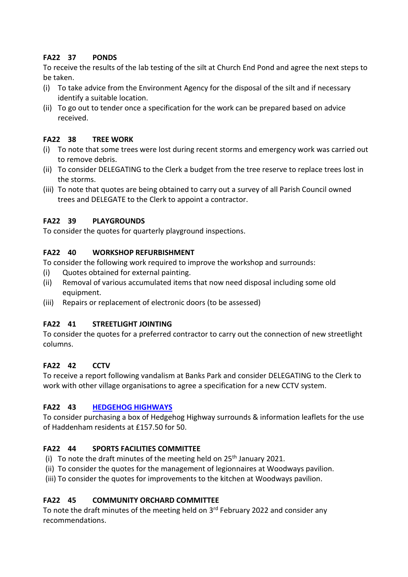# **FA22 37 PONDS**

To receive the results of the lab testing of the silt at Church End Pond and agree the next steps to be taken.

- (i) To take advice from the Environment Agency for the disposal of the silt and if necessary identify a suitable location.
- (ii) To go out to tender once a specification for the work can be prepared based on advice received.

#### **FA22 38 TREE WORK**

- (i) To note that some trees were lost during recent storms and emergency work was carried out to remove debris.
- (ii) To consider DELEGATING to the Clerk a budget from the tree reserve to replace trees lost in the storms.
- (iii) To note that quotes are being obtained to carry out a survey of all Parish Council owned trees and DELEGATE to the Clerk to appoint a contractor.

## **FA22 39 PLAYGROUNDS**

To consider the quotes for quarterly playground inspections.

## **FA22 40 WORKSHOP REFURBISHMENT**

To consider the following work required to improve the workshop and surrounds:

- (i) Quotes obtained for external painting.
- (ii) Removal of various accumulated items that now need disposal including some old equipment.
- (iii) Repairs or replacement of electronic doors (to be assessed)

## **FA22 41 STREETLIGHT JOINTING**

To consider the quotes for a preferred contractor to carry out the connection of new streetlight columns.

## **FA22 42 CCTV**

To receive a report following vandalism at Banks Park and consider DELEGATING to the Clerk to work with other village organisations to agree a specification for a new CCTV system.

## **FA22 43 [HEDGEHOG HIGHWAYS](https://hedgehogsrus.co.uk/hedgehog-highway-project)**

To consider purchasing a box of Hedgehog Highway surrounds & information leaflets for the use of Haddenham residents at £157.50 for 50.

## **FA22 44 SPORTS FACILITIES COMMITTEE**

- (i) To note the draft minutes of the meeting held on  $25<sup>th</sup>$  January 2021.
- (ii) To consider the quotes for the management of legionnaires at Woodways pavilion.

(iii) To consider the quotes for improvements to the kitchen at Woodways pavilion.

## **FA22 45 COMMUNITY ORCHARD COMMITTEE**

To note the draft minutes of the meeting held on 3<sup>rd</sup> February 2022 and consider any recommendations.